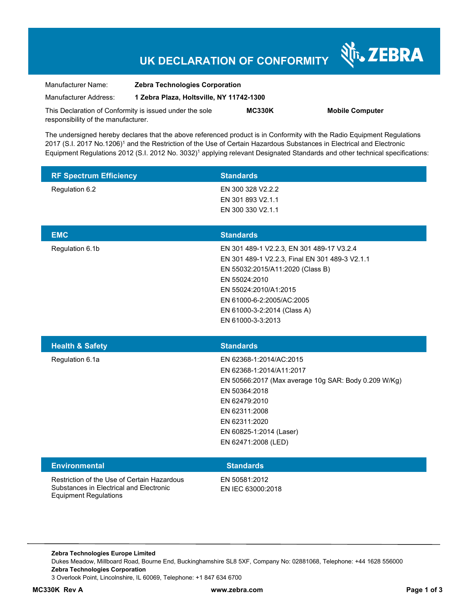# **UK DECLARATION OF CONFORMITY**

Nr. ZEBRA

| Manufacturer Name:                                      | <b>Zebra Technologies Corporation</b>    |               |                        |
|---------------------------------------------------------|------------------------------------------|---------------|------------------------|
| Manufacturer Address:                                   | 1 Zebra Plaza, Holtsville, NY 11742-1300 |               |                        |
| This Declaration of Conformity is issued under the sole |                                          | <b>MC330K</b> | <b>Mobile Computer</b> |
| responsibility of the manufacturer.                     |                                          |               |                        |

The undersigned hereby declares that the above referenced product is in Conformity with the Radio Equipment Regulations 2017 (S.I. 2017 No.1206)<sup>1</sup> and the Restriction of the Use of Certain Hazardous Substances in Electrical and Electronic Equipment Regulations 2012 (S.I. 2012 No. 3032)<sup>1</sup> applying relevant Designated Standards and other technical specifications:

| <b>RF Spectrum Efficiency</b>                                                          | <b>Standards</b>                                     |
|----------------------------------------------------------------------------------------|------------------------------------------------------|
| Regulation 6.2                                                                         | EN 300 328 V2.2.2                                    |
|                                                                                        | EN 301 893 V2.1.1                                    |
|                                                                                        | EN 300 330 V2.1.1                                    |
|                                                                                        |                                                      |
| <b>EMC</b>                                                                             | <b>Standards</b>                                     |
| Regulation 6.1b                                                                        | EN 301 489-1 V2.2.3, EN 301 489-17 V3.2.4            |
|                                                                                        | EN 301 489-1 V2.2.3, Final EN 301 489-3 V2.1.1       |
|                                                                                        | EN 55032:2015/A11:2020 (Class B)                     |
|                                                                                        | EN 55024:2010                                        |
|                                                                                        | EN 55024:2010/A1:2015                                |
|                                                                                        | EN 61000-6-2:2005/AC:2005                            |
|                                                                                        | EN 61000-3-2:2014 (Class A)                          |
|                                                                                        | EN 61000-3-3:2013                                    |
|                                                                                        |                                                      |
|                                                                                        |                                                      |
| <b>Health &amp; Safety</b>                                                             | <b>Standards</b>                                     |
| Regulation 6.1a                                                                        | EN 62368-1:2014/AC:2015                              |
|                                                                                        | EN 62368-1:2014/A11:2017                             |
|                                                                                        | EN 50566:2017 (Max average 10g SAR: Body 0.209 W/Kg) |
|                                                                                        | EN 50364:2018                                        |
|                                                                                        | EN 62479:2010                                        |
|                                                                                        | EN 62311:2008                                        |
|                                                                                        | EN 62311:2020                                        |
|                                                                                        | EN 60825-1:2014 (Laser)                              |
|                                                                                        | EN 62471:2008 (LED)                                  |
|                                                                                        |                                                      |
| <b>Environmental</b>                                                                   | <b>Standards</b>                                     |
| Restriction of the Use of Certain Hazardous<br>Substances in Electrical and Electronic | EN 50581:2012<br>EN IEC 63000:2018                   |

**Zebra Technologies Europe Limited**  Dukes Meadow, Millboard Road, Bourne End, Buckinghamshire SL8 5XF, Company No: 02881068, Telephone: +44 1628 556000 **Zebra Technologies Corporation**  3 Overlook Point, Lincolnshire, IL 60069, Telephone: +1 847 634 6700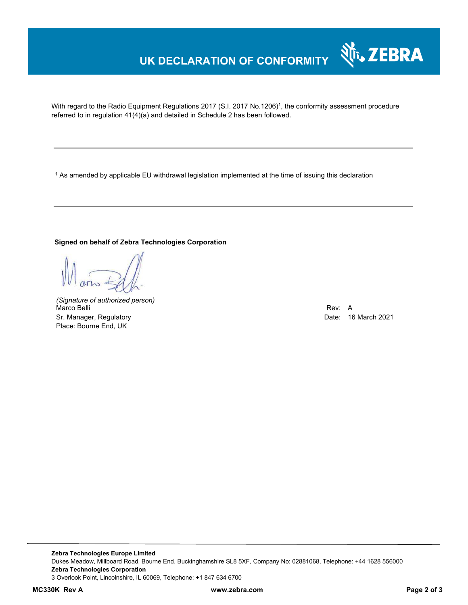## **UK DECLARATION OF CONFORMITY**

With regard to the Radio Equipment Regulations 2017 (S.I. 2017 No.1206)<sup>1</sup>, the conformity assessment procedure referred to in regulation 41(4)(a) and detailed in Schedule 2 has been followed.

 $^{\rm 1}$  As amended by applicable EU withdrawal legislation implemented at the time of issuing this declaration

#### **Signed on behalf of Zebra Technologies Corporation**

*(Signature of authorized person)* Marco Belli Rev: A Sr. Manager, Regulatory **Date: 16 March 2021** Controller and Date: 16 March 2021 Place: Bourne End, UK

Nr. ZEBRA

**Zebra Technologies Europe Limited**  Dukes Meadow, Millboard Road, Bourne End, Buckinghamshire SL8 5XF, Company No: 02881068, Telephone: +44 1628 556000 **Zebra Technologies Corporation**  3 Overlook Point, Lincolnshire, IL 60069, Telephone: +1 847 634 6700